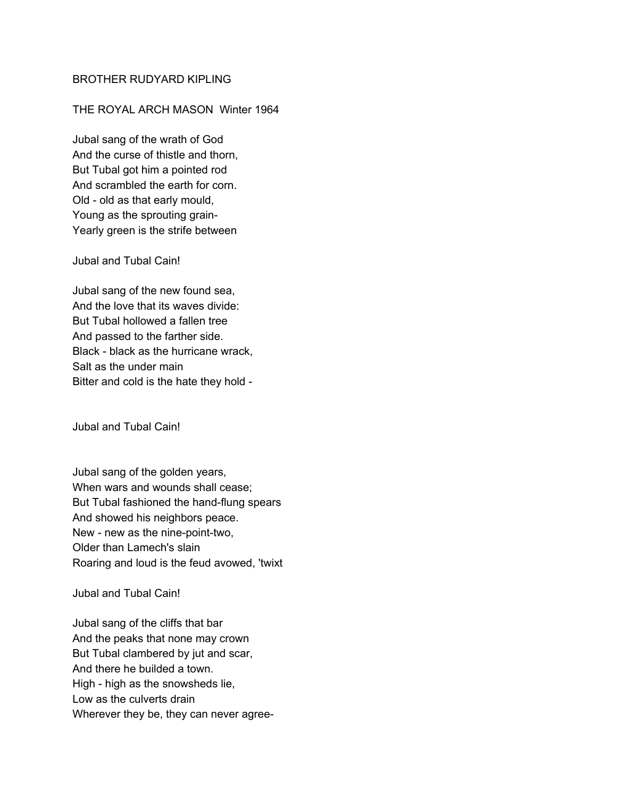## BROTHER RUDYARD KIPLING

## THE ROYAL ARCH MASON Winter 1964

Jubal sang of the wrath of God And the curse of thistle and thorn, But Tubal got him a pointed rod And scrambled the earth for corn. Old - old as that early mould, Young as the sprouting grain-Yearly green is the strife between

## Jubal and Tubal Cain!

Jubal sang of the new found sea, And the love that its waves divide: But Tubal hollowed a fallen tree And passed to the farther side. Black - black as the hurricane wrack, Salt as the under main Bitter and cold is the hate they hold -

Jubal and Tubal Cain!

Jubal sang of the golden years, When wars and wounds shall cease; But Tubal fashioned the hand-flung spears And showed his neighbors peace. New - new as the nine-point-two, Older than Lamech's slain Roaring and loud is the feud avowed, 'twixt

Jubal and Tubal Cain!

Jubal sang of the cliffs that bar And the peaks that none may crown But Tubal clambered by jut and scar, And there he builded a town. High - high as the snowsheds lie, Low as the culverts drain Wherever they be, they can never agree